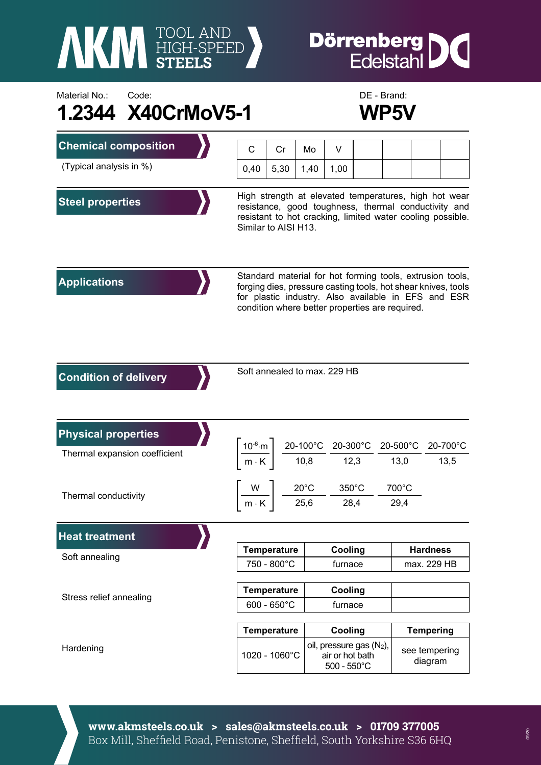

## **Dörrenberg**<br>Edelstahl IC

## Material No.: Code: Code: Code: DE - Brand: **1.2344 X40CrMoV5-1 WP5V**



| <b>Chemical composition</b>   | С                                                                                                                                                                                                                                    | Cr                                                                                                                                                   | Mo   | V                                                                                                                                    |  |                  |                          |  |                  |
|-------------------------------|--------------------------------------------------------------------------------------------------------------------------------------------------------------------------------------------------------------------------------------|------------------------------------------------------------------------------------------------------------------------------------------------------|------|--------------------------------------------------------------------------------------------------------------------------------------|--|------------------|--------------------------|--|------------------|
| (Typical analysis in %)       | 0,40                                                                                                                                                                                                                                 | 5,30                                                                                                                                                 | 1,40 | 1,00                                                                                                                                 |  |                  |                          |  |                  |
| <b>Steel properties</b>       | High strength at elevated temperatures, high hot wear<br>resistance, good toughness, thermal conductivity and<br>resistant to hot cracking, limited water cooling possible.<br>Similar to AISI H13.                                  |                                                                                                                                                      |      |                                                                                                                                      |  |                  |                          |  |                  |
| <b>Applications</b>           | Standard material for hot forming tools, extrusion tools,<br>forging dies, pressure casting tools, hot shear knives, tools<br>for plastic industry. Also available in EFS and ESR<br>condition where better properties are required. |                                                                                                                                                      |      |                                                                                                                                      |  |                  |                          |  |                  |
| <b>Condition of delivery</b>  | Soft annealed to max. 229 HB                                                                                                                                                                                                         |                                                                                                                                                      |      |                                                                                                                                      |  |                  |                          |  |                  |
| <b>Physical properties</b>    |                                                                                                                                                                                                                                      |                                                                                                                                                      |      |                                                                                                                                      |  |                  |                          |  |                  |
| Thermal expansion coefficient |                                                                                                                                                                                                                                      | $\left.\frac{10^{-6}\text{ m}}{\text{m} \cdot \text{K}}\right  \left.\frac{20-100^{\circ}\text{C}}{10,8}\right. \frac{20-300^{\circ}\text{C}}{12,3}$ |      |                                                                                                                                      |  | 20-500°C<br>13,0 |                          |  | 20-700°C<br>13,5 |
| Thermal conductivity          |                                                                                                                                                                                                                                      |                                                                                                                                                      |      | $\left  \frac{\mathsf{W}}{\mathsf{m}\cdot\mathsf{K}} \right  \frac{20^{\circ}\mathsf{C}}{25,6} - \frac{350^{\circ}\mathsf{C}}{28,4}$ |  |                  | $700^{\circ}$ C<br>29,4  |  |                  |
| <b>Heat treatment</b>         |                                                                                                                                                                                                                                      |                                                                                                                                                      |      |                                                                                                                                      |  |                  |                          |  |                  |
| Soft annealing                |                                                                                                                                                                                                                                      | <b>Temperature</b>                                                                                                                                   |      | Cooling                                                                                                                              |  |                  | <b>Hardness</b>          |  |                  |
|                               | 750 - 800°C                                                                                                                                                                                                                          |                                                                                                                                                      |      | furnace                                                                                                                              |  |                  | max. 229 HB              |  |                  |
| Stress relief annealing       | <b>Temperature</b>                                                                                                                                                                                                                   |                                                                                                                                                      |      | Cooling                                                                                                                              |  |                  |                          |  |                  |
|                               | $600 - 650^{\circ}$ C                                                                                                                                                                                                                |                                                                                                                                                      |      | furnace                                                                                                                              |  |                  |                          |  |                  |
|                               | <b>Temperature</b>                                                                                                                                                                                                                   |                                                                                                                                                      |      | Cooling                                                                                                                              |  |                  | <b>Tempering</b>         |  |                  |
| Hardening                     |                                                                                                                                                                                                                                      | 1020 - 1060°C                                                                                                                                        |      | oil, pressure gas $(N_2)$ ,<br>air or hot bath<br>$500 - 550^{\circ}$ C                                                              |  |                  | see tempering<br>diagram |  |                  |

**www.akmsteels.co.uk > sales@akmsteels.co.uk > 01709 377005**  Box Mill, Sheffield Road, Penistone, Sheffield, South Yorkshire S36 6HQ